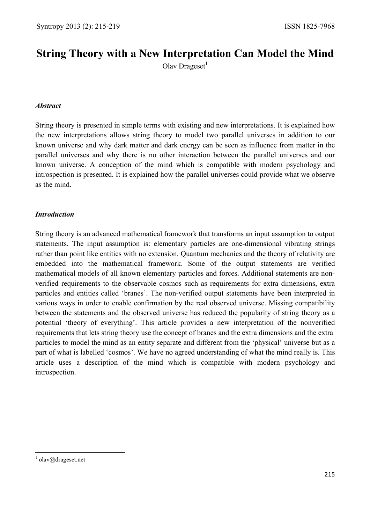# **String Theory with a New Interpretation Can Model the Mind**

Olav Drageset $<sup>1</sup>$ </sup>

## *Abstract*

String theory is presented in simple terms with existing and new interpretations. It is explained how the new interpretations allows string theory to model two parallel universes in addition to our known universe and why dark matter and dark energy can be seen as influence from matter in the parallel universes and why there is no other interaction between the parallel universes and our known universe. A conception of the mind which is compatible with modern psychology and introspection is presented. It is explained how the parallel universes could provide what we observe as the mind.

## *Introduction*

String theory is an advanced mathematical framework that transforms an input assumption to output statements. The input assumption is: elementary particles are one-dimensional vibrating strings rather than point like entities with no extension. Quantum mechanics and the theory of relativity are embedded into the mathematical framework. Some of the output statements are verified mathematical models of all known elementary particles and forces. Additional statements are nonverified requirements to the observable cosmos such as requirements for extra dimensions, extra particles and entities called 'branes'. The non-verified output statements have been interpreted in various ways in order to enable confirmation by the real observed universe. Missing compatibility between the statements and the observed universe has reduced the popularity of string theory as a potential 'theory of everything'. This article provides a new interpretation of the nonverified requirements that lets string theory use the concept of branes and the extra dimensions and the extra particles to model the mind as an entity separate and different from the 'physical' universe but as a part of what is labelled 'cosmos'. We have no agreed understanding of what the mind really is. This article uses a description of the mind which is compatible with modern psychology and introspection.

 $\overline{a}$  $1$  olav@drageset.net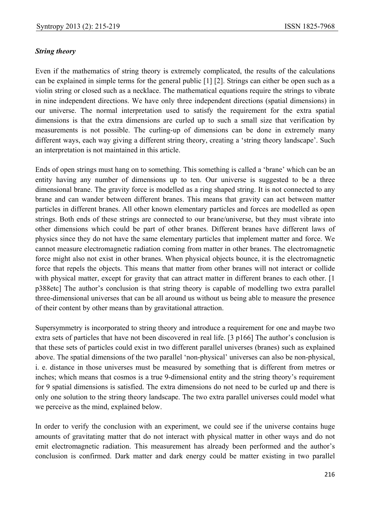#### *String theory*

Even if the mathematics of string theory is extremely complicated, the results of the calculations can be explained in simple terms for the general public [1] [2]. Strings can either be open such as a violin string or closed such as a necklace. The mathematical equations require the strings to vibrate in nine independent directions. We have only three independent directions (spatial dimensions) in our universe. The normal interpretation used to satisfy the requirement for the extra spatial dimensions is that the extra dimensions are curled up to such a small size that verification by measurements is not possible. The curling-up of dimensions can be done in extremely many different ways, each way giving a different string theory, creating a 'string theory landscape'. Such an interpretation is not maintained in this article.

Ends of open strings must hang on to something. This something is called a 'brane' which can be an entity having any number of dimensions up to ten. Our universe is suggested to be a three dimensional brane. The gravity force is modelled as a ring shaped string. It is not connected to any brane and can wander between different branes. This means that gravity can act between matter particles in different branes. All other known elementary particles and forces are modelled as open strings. Both ends of these strings are connected to our brane/universe, but they must vibrate into other dimensions which could be part of other branes. Different branes have different laws of physics since they do not have the same elementary particles that implement matter and force. We cannot measure electromagnetic radiation coming from matter in other branes. The electromagnetic force might also not exist in other branes. When physical objects bounce, it is the electromagnetic force that repels the objects. This means that matter from other branes will not interact or collide with physical matter, except for gravity that can attract matter in different branes to each other. [1] p388etc] The author's conclusion is that string theory is capable of modelling two extra parallel three-dimensional universes that can be all around us without us being able to measure the presence of their content by other means than by gravitational attraction.

Supersymmetry is incorporated to string theory and introduce a requirement for one and maybe two extra sets of particles that have not been discovered in real life. [3 p166] The author's conclusion is that these sets of particles could exist in two different parallel universes (branes) such as explained above. The spatial dimensions of the two parallel 'non-physical' universes can also be non-physical, i. e. distance in those universes must be measured by something that is different from metres or inches; which means that cosmos is a true 9-dimensional entity and the string theory's requirement for 9 spatial dimensions is satisfied. The extra dimensions do not need to be curled up and there is only one solution to the string theory landscape. The two extra parallel universes could model what we perceive as the mind, explained below.

In order to verify the conclusion with an experiment, we could see if the universe contains huge amounts of gravitating matter that do not interact with physical matter in other ways and do not emit electromagnetic radiation. This measurement has already been performed and the author's conclusion is confirmed. Dark matter and dark energy could be matter existing in two parallel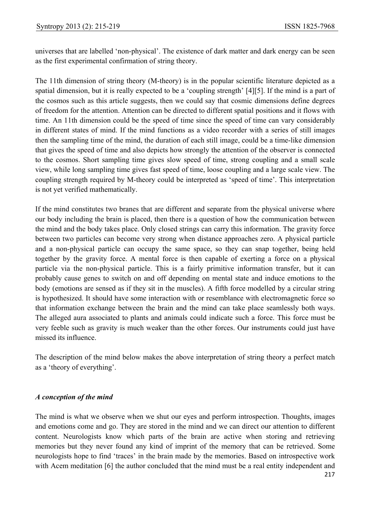universes that are labelled 'non-physical'. The existence of dark matter and dark energy can be seen as the first experimental confirmation of string theory.

The 11th dimension of string theory (M-theory) is in the popular scientific literature depicted as a spatial dimension, but it is really expected to be a 'coupling strength' [4][5]. If the mind is a part of the cosmos such as this article suggests, then we could say that cosmic dimensions define degrees of freedom for the attention. Attention can be directed to different spatial positions and it flows with time. An 11th dimension could be the speed of time since the speed of time can vary considerably in different states of mind. If the mind functions as a video recorder with a series of still images then the sampling time of the mind, the duration of each still image, could be a time-like dimension that gives the speed of time and also depicts how strongly the attention of the observer is connected to the cosmos. Short sampling time gives slow speed of time, strong coupling and a small scale view, while long sampling time gives fast speed of time, loose coupling and a large scale view. The coupling strength required by M-theory could be interpreted as 'speed of time'. This interpretation is not yet verified mathematically.

If the mind constitutes two branes that are different and separate from the physical universe where our body including the brain is placed, then there is a question of how the communication between the mind and the body takes place. Only closed strings can carry this information. The gravity force between two particles can become very strong when distance approaches zero. A physical particle and a non-physical particle can occupy the same space, so they can snap together, being held together by the gravity force. A mental force is then capable of exerting a force on a physical particle via the non-physical particle. This is a fairly primitive information transfer, but it can probably cause genes to switch on and off depending on mental state and induce emotions to the body (emotions are sensed as if they sit in the muscles). A fifth force modelled by a circular string is hypothesized. It should have some interaction with or resemblance with electromagnetic force so that information exchange between the brain and the mind can take place seamlessly both ways. The alleged aura associated to plants and animals could indicate such a force. This force must be very feeble such as gravity is much weaker than the other forces. Our instruments could just have missed its influence.

The description of the mind below makes the above interpretation of string theory a perfect match as a 'theory of everything'.

#### *A conception of the mind*

The mind is what we observe when we shut our eyes and perform introspection. Thoughts, images and emotions come and go. They are stored in the mind and we can direct our attention to different content. Neurologists know which parts of the brain are active when storing and retrieving memories but they never found any kind of imprint of the memory that can be retrieved. Some neurologists hope to find 'traces' in the brain made by the memories. Based on introspective work with Acem meditation [6] the author concluded that the mind must be a real entity independent and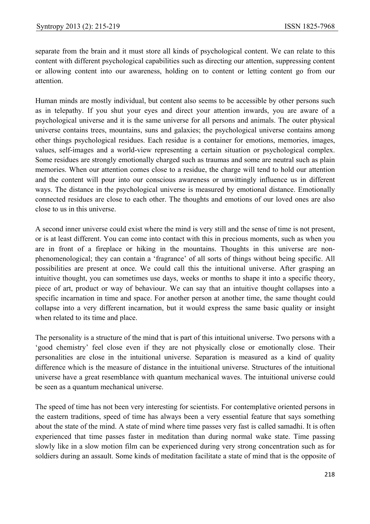separate from the brain and it must store all kinds of psychological content. We can relate to this content with different psychological capabilities such as directing our attention, suppressing content or allowing content into our awareness, holding on to content or letting content go from our attention.

Human minds are mostly individual, but content also seems to be accessible by other persons such as in telepathy. If you shut your eyes and direct your attention inwards, you are aware of a psychological universe and it is the same universe for all persons and animals. The outer physical universe contains trees, mountains, suns and galaxies; the psychological universe contains among other things psychological residues. Each residue is a container for emotions, memories, images, values, self-images and a world-view representing a certain situation or psychological complex. Some residues are strongly emotionally charged such as traumas and some are neutral such as plain memories. When our attention comes close to a residue, the charge will tend to hold our attention and the content will pour into our conscious awareness or unwittingly influence us in different ways. The distance in the psychological universe is measured by emotional distance. Emotionally connected residues are close to each other. The thoughts and emotions of our loved ones are also close to us in this universe.

A second inner universe could exist where the mind is very still and the sense of time is not present, or is at least different. You can come into contact with this in precious moments, such as when you are in front of a fireplace or hiking in the mountains. Thoughts in this universe are nonphenomenological; they can contain a 'fragrance' of all sorts of things without being specific. All possibilities are present at once. We could call this the intuitional universe. After grasping an intuitive thought, you can sometimes use days, weeks or months to shape it into a specific theory, piece of art, product or way of behaviour. We can say that an intuitive thought collapses into a specific incarnation in time and space. For another person at another time, the same thought could collapse into a very different incarnation, but it would express the same basic quality or insight when related to its time and place.

The personality is a structure of the mind that is part of this intuitional universe. Two persons with a 'good chemistry' feel close even if they are not physically close or emotionally close. Their personalities are close in the intuitional universe. Separation is measured as a kind of quality difference which is the measure of distance in the intuitional universe. Structures of the intuitional universe have a great resemblance with quantum mechanical waves. The intuitional universe could be seen as a quantum mechanical universe.

The speed of time has not been very interesting for scientists. For contemplative oriented persons in the eastern traditions, speed of time has always been a very essential feature that says something about the state of the mind. A state of mind where time passes very fast is called samadhi. It is often experienced that time passes faster in meditation than during normal wake state. Time passing slowly like in a slow motion film can be experienced during very strong concentration such as for soldiers during an assault. Some kinds of meditation facilitate a state of mind that is the opposite of